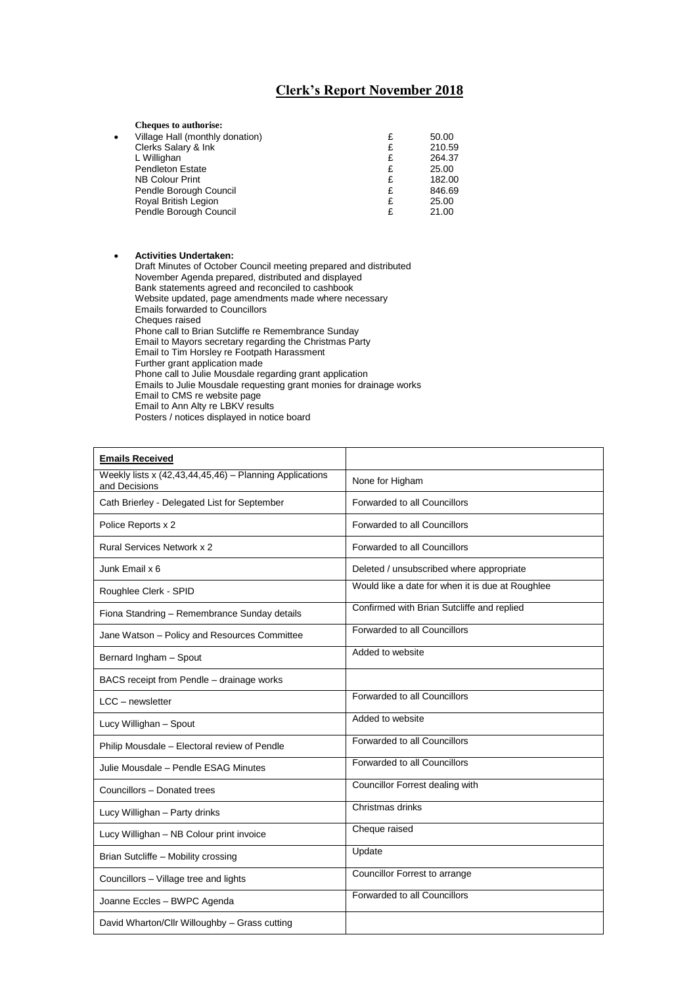## **Clerk's Report November 2018**

|           | <b>Cheques to authorise:</b>    |   |        |
|-----------|---------------------------------|---|--------|
| $\bullet$ | Village Hall (monthly donation) | £ | 50.00  |
|           | Clerks Salary & Ink             | £ | 210.59 |
|           | L Willighan                     | £ | 264.37 |
|           | <b>Pendleton Estate</b>         | £ | 25.00  |
|           | <b>NB Colour Print</b>          | £ | 182.00 |
|           | Pendle Borough Council          | £ | 846.69 |
|           | Royal British Legion            | £ | 25.00  |
|           | Pendle Borough Council          |   | 21.00  |

• **Activities Undertaken:** Draft Minutes of October Council meeting prepared and distributed November Agenda prepared, distributed and displayed Bank statements agreed and reconciled to cashbook Website updated, page amendments made where necessary Emails forwarded to Councillors Cheques raised Phone call to Brian Sutcliffe re Remembrance Sunday Email to Mayors secretary regarding the Christmas Party Email to Tim Horsley re Footpath Harassment Further grant application made Phone call to Julie Mousdale regarding grant application Emails to Julie Mousdale requesting grant monies for drainage works Email to CMS re website page Email to Ann Alty re LBKV results Posters / notices displayed in notice board

| <b>Emails Received</b>                                                   |                                                  |
|--------------------------------------------------------------------------|--------------------------------------------------|
| Weekly lists x (42,43,44,45,46) - Planning Applications<br>and Decisions | None for Higham                                  |
| Cath Brierley - Delegated List for September                             | Forwarded to all Councillors                     |
| Police Reports x 2                                                       | Forwarded to all Councillors                     |
| <b>Rural Services Network x 2</b>                                        | Forwarded to all Councillors                     |
| Junk Email x 6                                                           | Deleted / unsubscribed where appropriate         |
| Roughlee Clerk - SPID                                                    | Would like a date for when it is due at Roughlee |
| Fiona Standring - Remembrance Sunday details                             | Confirmed with Brian Sutcliffe and replied       |
| Jane Watson - Policy and Resources Committee                             | Forwarded to all Councillors                     |
| Bernard Ingham - Spout                                                   | Added to website                                 |
| BACS receipt from Pendle - drainage works                                |                                                  |
| LCC - newsletter                                                         | Forwarded to all Councillors                     |
| Lucy Willighan - Spout                                                   | Added to website                                 |
| Philip Mousdale - Electoral review of Pendle                             | Forwarded to all Councillors                     |
| Julie Mousdale - Pendle ESAG Minutes                                     | Forwarded to all Councillors                     |
| Councillors - Donated trees                                              | Councillor Forrest dealing with                  |
| Lucy Willighan - Party drinks                                            | Christmas drinks                                 |
| Lucy Willighan - NB Colour print invoice                                 | Cheque raised                                    |
| Brian Sutcliffe - Mobility crossing                                      | Update                                           |
| Councillors - Village tree and lights                                    | Councillor Forrest to arrange                    |
| Joanne Eccles - BWPC Agenda                                              | Forwarded to all Councillors                     |
| David Wharton/Cllr Willoughby - Grass cutting                            |                                                  |